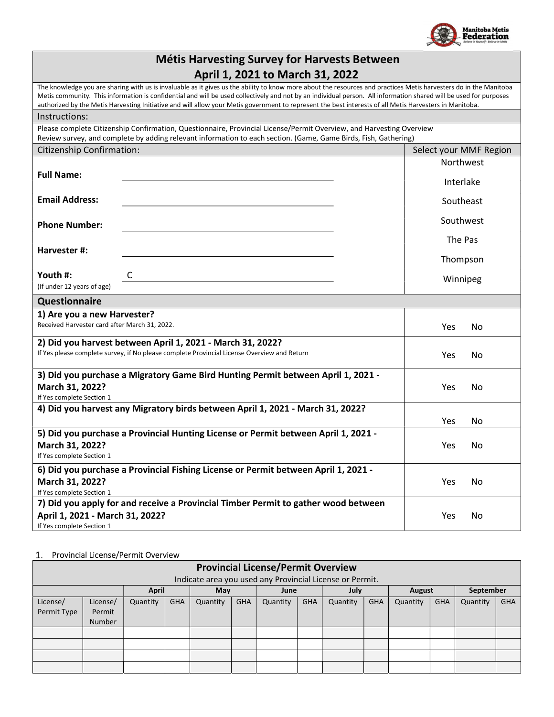

Winnipeg

| <b>Métis Harvesting Survey for Harvests Between</b> |
|-----------------------------------------------------|
| April 1, 2021 to March 31, 2022                     |

|                                  | The knowledge you are sharing with us is invaluable as it gives us the ability to know more about the resources and practices Metis harvesters do in the Manitoba<br>Metis community. This information is confidential and will be used collectively and not by an individual person. All information shared will be used for purposes<br>authorized by the Metis Harvesting Initiative and will allow your Metis government to represent the best interests of all Metis Harvesters in Manitoba. |                        |
|----------------------------------|---------------------------------------------------------------------------------------------------------------------------------------------------------------------------------------------------------------------------------------------------------------------------------------------------------------------------------------------------------------------------------------------------------------------------------------------------------------------------------------------------|------------------------|
| Instructions:                    |                                                                                                                                                                                                                                                                                                                                                                                                                                                                                                   |                        |
|                                  | Please complete Citizenship Confirmation, Questionnaire, Provincial License/Permit Overview, and Harvesting Overview<br>Review survey, and complete by adding relevant information to each section. (Game, Game Birds, Fish, Gathering)                                                                                                                                                                                                                                                           |                        |
| <b>Citizenship Confirmation:</b> |                                                                                                                                                                                                                                                                                                                                                                                                                                                                                                   | Select your MMF Region |
| <b>Full Name:</b>                |                                                                                                                                                                                                                                                                                                                                                                                                                                                                                                   | <b>Northwest</b>       |
|                                  |                                                                                                                                                                                                                                                                                                                                                                                                                                                                                                   | Interlake              |
| <b>Email Address:</b>            |                                                                                                                                                                                                                                                                                                                                                                                                                                                                                                   | Southeast              |
| <b>Phone Number:</b>             |                                                                                                                                                                                                                                                                                                                                                                                                                                                                                                   | Southwest              |
| Harvester #:                     |                                                                                                                                                                                                                                                                                                                                                                                                                                                                                                   | The Pas                |
|                                  |                                                                                                                                                                                                                                                                                                                                                                                                                                                                                                   | Thompson               |
| Youth #:                         |                                                                                                                                                                                                                                                                                                                                                                                                                                                                                                   | Winnineg               |

(If under 12 years of age)

### Questionnaire

l<br>L

| <b>Questionnaire</b>                                                                        |            |     |
|---------------------------------------------------------------------------------------------|------------|-----|
| 1) Are you a new Harvester?                                                                 |            |     |
| Received Harvester card after March 31, 2022.                                               | Yes        | No. |
| 2) Did you harvest between April 1, 2021 - March 31, 2022?                                  |            |     |
| If Yes please complete survey, if No please complete Provincial License Overview and Return | Yes.       | No. |
| 3) Did you purchase a Migratory Game Bird Hunting Permit between April 1, 2021 -            |            |     |
| March 31, 2022?                                                                             | Yes        | No  |
| If Yes complete Section 1                                                                   |            |     |
| 4) Did you harvest any Migratory birds between April 1, 2021 - March 31, 2022?              |            |     |
|                                                                                             | <b>Yes</b> | No. |
| 5) Did you purchase a Provincial Hunting License or Permit between April 1, 2021 -          |            |     |
| March 31, 2022?                                                                             | <b>Yes</b> | No  |
| If Yes complete Section 1                                                                   |            |     |
| 6) Did you purchase a Provincial Fishing License or Permit between April 1, 2021 -          |            |     |
| March 31, 2022?                                                                             | Yes        | No  |
| If Yes complete Section 1                                                                   |            |     |
| 7) Did you apply for and receive a Provincial Timber Permit to gather wood between          |            |     |
| April 1, 2021 - March 31, 2022?                                                             | Yes        | No  |
|                                                                                             |            |     |

If Yes complete Section 1

### 1. Provincial License/Permit Overview

|                         | <b>Provincial License/Permit Overview</b>                  |          |            |          |            |          |     |          |     |          |            |          |            |  |  |
|-------------------------|------------------------------------------------------------|----------|------------|----------|------------|----------|-----|----------|-----|----------|------------|----------|------------|--|--|
|                         | Indicate area you used any Provincial License or Permit.   |          |            |          |            |          |     |          |     |          |            |          |            |  |  |
|                         | <b>April</b><br>May<br>September<br>July<br>August<br>June |          |            |          |            |          |     |          |     |          |            |          |            |  |  |
| License/<br>Permit Type | License/<br>Permit<br>Number                               | Quantity | <b>GHA</b> | Quantity | <b>GHA</b> | Quantity | GHA | Quantity | GHA | Quantity | <b>GHA</b> | Quantity | <b>GHA</b> |  |  |
|                         |                                                            |          |            |          |            |          |     |          |     |          |            |          |            |  |  |
|                         |                                                            |          |            |          |            |          |     |          |     |          |            |          |            |  |  |
|                         |                                                            |          |            |          |            |          |     |          |     |          |            |          |            |  |  |
|                         |                                                            |          |            |          |            |          |     |          |     |          |            |          |            |  |  |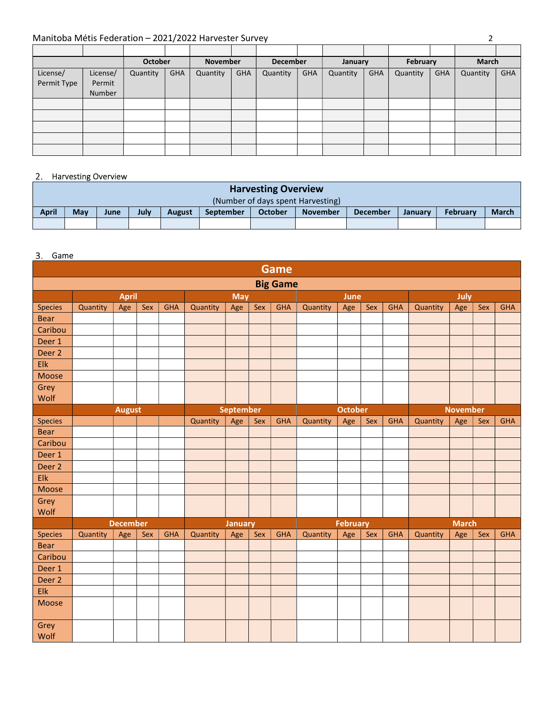|             |          | <b>October</b> |            | November |            | <b>December</b> |            | January  |            | February |            | <b>March</b> |            |
|-------------|----------|----------------|------------|----------|------------|-----------------|------------|----------|------------|----------|------------|--------------|------------|
| License/    | License/ | Quantity       | <b>GHA</b> | Quantity | <b>GHA</b> | Quantity        | <b>GHA</b> | Quantity | <b>GHA</b> | Quantity | <b>GHA</b> | Quantity     | <b>GHA</b> |
| Permit Type | Permit   |                |            |          |            |                 |            |          |            |          |            |              |            |
|             | Number   |                |            |          |            |                 |            |          |            |          |            |              |            |
|             |          |                |            |          |            |                 |            |          |            |          |            |              |            |
|             |          |                |            |          |            |                 |            |          |            |          |            |              |            |
|             |          |                |            |          |            |                 |            |          |            |          |            |              |            |
|             |          |                |            |          |            |                 |            |          |            |          |            |              |            |
|             |          |                |            |          |            |                 |            |          |            |          |            |              |            |

# 2. Harvesting Overview

| <b>Harvesting Overview</b> |     |      |      |               |                  |                |                                   |                 |                |                 |              |  |  |
|----------------------------|-----|------|------|---------------|------------------|----------------|-----------------------------------|-----------------|----------------|-----------------|--------------|--|--|
|                            |     |      |      |               |                  |                | (Number of days spent Harvesting) |                 |                |                 |              |  |  |
| <b>April</b>               | May | June | July | <b>August</b> | <b>September</b> | <b>October</b> | <b>November</b>                   | <b>December</b> | <b>January</b> | <b>February</b> | <b>March</b> |  |  |
|                            |     |      |      |               |                  |                |                                   |                 |                |                 |              |  |  |

### 3. Game

|                   |          |                 |     |            |          |                  |     | Game            |          |                 |     |            |          |                 |     |            |
|-------------------|----------|-----------------|-----|------------|----------|------------------|-----|-----------------|----------|-----------------|-----|------------|----------|-----------------|-----|------------|
|                   |          |                 |     |            |          |                  |     | <b>Big Game</b> |          |                 |     |            |          |                 |     |            |
|                   |          | <b>April</b>    |     |            |          | <b>May</b>       |     |                 |          | June            |     |            |          | July            |     |            |
| <b>Species</b>    | Quantity | Age             | Sex | <b>GHA</b> | Quantity | Age              | Sex | <b>GHA</b>      | Quantity | Age             | Sex | <b>GHA</b> | Quantity | Age             | Sex | <b>GHA</b> |
| <b>Bear</b>       |          |                 |     |            |          |                  |     |                 |          |                 |     |            |          |                 |     |            |
| Caribou           |          |                 |     |            |          |                  |     |                 |          |                 |     |            |          |                 |     |            |
| Deer 1            |          |                 |     |            |          |                  |     |                 |          |                 |     |            |          |                 |     |            |
| Deer 2            |          |                 |     |            |          |                  |     |                 |          |                 |     |            |          |                 |     |            |
| Elk               |          |                 |     |            |          |                  |     |                 |          |                 |     |            |          |                 |     |            |
| Moose             |          |                 |     |            |          |                  |     |                 |          |                 |     |            |          |                 |     |            |
| Grey              |          |                 |     |            |          |                  |     |                 |          |                 |     |            |          |                 |     |            |
| Wolf              |          |                 |     |            |          |                  |     |                 |          |                 |     |            |          |                 |     |            |
|                   |          | <b>August</b>   |     |            |          | <b>September</b> |     |                 |          | <b>October</b>  |     |            |          | <b>November</b> |     |            |
| <b>Species</b>    |          |                 |     |            | Quantity | Age              | Sex | <b>GHA</b>      | Quantity | Age             | Sex | <b>GHA</b> | Quantity | Age             | Sex | <b>GHA</b> |
| <b>Bear</b>       |          |                 |     |            |          |                  |     |                 |          |                 |     |            |          |                 |     |            |
| Caribou           |          |                 |     |            |          |                  |     |                 |          |                 |     |            |          |                 |     |            |
| Deer 1            |          |                 |     |            |          |                  |     |                 |          |                 |     |            |          |                 |     |            |
| Deer <sub>2</sub> |          |                 |     |            |          |                  |     |                 |          |                 |     |            |          |                 |     |            |
| Elk               |          |                 |     |            |          |                  |     |                 |          |                 |     |            |          |                 |     |            |
| Moose             |          |                 |     |            |          |                  |     |                 |          |                 |     |            |          |                 |     |            |
| Grey              |          |                 |     |            |          |                  |     |                 |          |                 |     |            |          |                 |     |            |
| Wolf              |          |                 |     |            |          |                  |     |                 |          |                 |     |            |          |                 |     |            |
|                   |          | <b>December</b> |     |            |          | <b>January</b>   |     |                 |          | <b>February</b> |     |            |          | <b>March</b>    |     |            |
| <b>Species</b>    | Quantity | Age             | Sex | <b>GHA</b> | Quantity | Age              | Sex | <b>GHA</b>      | Quantity | Age             | Sex | <b>GHA</b> | Quantity | Age             | Sex | <b>GHA</b> |
| <b>Bear</b>       |          |                 |     |            |          |                  |     |                 |          |                 |     |            |          |                 |     |            |
| Caribou           |          |                 |     |            |          |                  |     |                 |          |                 |     |            |          |                 |     |            |
| Deer 1            |          |                 |     |            |          |                  |     |                 |          |                 |     |            |          |                 |     |            |
| Deer 2            |          |                 |     |            |          |                  |     |                 |          |                 |     |            |          |                 |     |            |
| Elk               |          |                 |     |            |          |                  |     |                 |          |                 |     |            |          |                 |     |            |
| Moose             |          |                 |     |            |          |                  |     |                 |          |                 |     |            |          |                 |     |            |
| Grey<br>Wolf      |          |                 |     |            |          |                  |     |                 |          |                 |     |            |          |                 |     |            |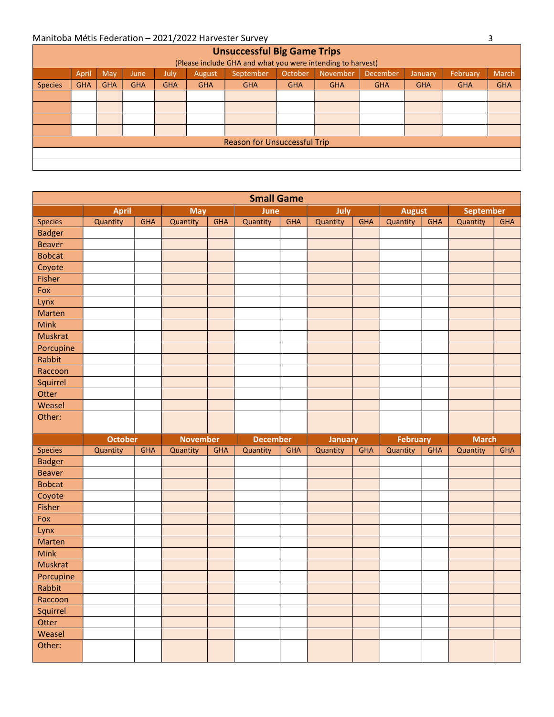|                                                                                                                                | <b>Unsuccessful Big Game Trips</b> |            |            |            |            |                              |            |            |            |            |            |            |  |  |
|--------------------------------------------------------------------------------------------------------------------------------|------------------------------------|------------|------------|------------|------------|------------------------------|------------|------------|------------|------------|------------|------------|--|--|
| (Please include GHA and what you were intending to harvest)                                                                    |                                    |            |            |            |            |                              |            |            |            |            |            |            |  |  |
| <b>March</b><br>April<br>October<br>November<br>September<br>February<br>May<br>December<br>July,<br>August<br>January<br>June |                                    |            |            |            |            |                              |            |            |            |            |            |            |  |  |
| <b>Species</b>                                                                                                                 | <b>GHA</b>                         | <b>GHA</b> | <b>GHA</b> | <b>GHA</b> | <b>GHA</b> | <b>GHA</b>                   | <b>GHA</b> | <b>GHA</b> | <b>GHA</b> | <b>GHA</b> | <b>GHA</b> | <b>GHA</b> |  |  |
|                                                                                                                                |                                    |            |            |            |            |                              |            |            |            |            |            |            |  |  |
|                                                                                                                                |                                    |            |            |            |            |                              |            |            |            |            |            |            |  |  |
|                                                                                                                                |                                    |            |            |            |            |                              |            |            |            |            |            |            |  |  |
|                                                                                                                                |                                    |            |            |            |            |                              |            |            |            |            |            |            |  |  |
|                                                                                                                                |                                    |            |            |            |            | Reason for Unsuccessful Trip |            |            |            |            |            |            |  |  |
|                                                                                                                                |                                    |            |            |            |            |                              |            |            |            |            |            |            |  |  |
|                                                                                                                                |                                    |            |            |            |            |                              |            |            |            |            |            |            |  |  |

|                |                |            |                 |            | <b>Small Game</b> |            |                |            |                 |            |              |            |
|----------------|----------------|------------|-----------------|------------|-------------------|------------|----------------|------------|-----------------|------------|--------------|------------|
|                | <b>April</b>   |            | <b>May</b>      |            | June              |            | July           |            | <b>August</b>   |            | September    |            |
| <b>Species</b> | Quantity       | <b>GHA</b> | Quantity        | <b>GHA</b> | Quantity          | <b>GHA</b> | Quantity       | <b>GHA</b> | Quantity        | <b>GHA</b> | Quantity     | <b>GHA</b> |
| <b>Badger</b>  |                |            |                 |            |                   |            |                |            |                 |            |              |            |
| <b>Beaver</b>  |                |            |                 |            |                   |            |                |            |                 |            |              |            |
| <b>Bobcat</b>  |                |            |                 |            |                   |            |                |            |                 |            |              |            |
| Coyote         |                |            |                 |            |                   |            |                |            |                 |            |              |            |
| Fisher         |                |            |                 |            |                   |            |                |            |                 |            |              |            |
| Fox            |                |            |                 |            |                   |            |                |            |                 |            |              |            |
| Lynx           |                |            |                 |            |                   |            |                |            |                 |            |              |            |
| Marten         |                |            |                 |            |                   |            |                |            |                 |            |              |            |
| Mink           |                |            |                 |            |                   |            |                |            |                 |            |              |            |
| <b>Muskrat</b> |                |            |                 |            |                   |            |                |            |                 |            |              |            |
| Porcupine      |                |            |                 |            |                   |            |                |            |                 |            |              |            |
| Rabbit         |                |            |                 |            |                   |            |                |            |                 |            |              |            |
| Raccoon        |                |            |                 |            |                   |            |                |            |                 |            |              |            |
| Squirrel       |                |            |                 |            |                   |            |                |            |                 |            |              |            |
| Otter          |                |            |                 |            |                   |            |                |            |                 |            |              |            |
| Weasel         |                |            |                 |            |                   |            |                |            |                 |            |              |            |
| Other:         |                |            |                 |            |                   |            |                |            |                 |            |              |            |
|                |                |            |                 |            |                   |            |                |            |                 |            |              |            |
|                |                |            |                 |            |                   |            |                |            |                 |            |              |            |
|                | <b>October</b> |            | <b>November</b> |            | <b>December</b>   |            | <b>January</b> |            | <b>February</b> |            | <b>March</b> |            |
| Species        | Quantity       | <b>GHA</b> | Quantity        | <b>GHA</b> | Quantity          | <b>GHA</b> | Quantity       | GHA        | Quantity        | <b>GHA</b> | Quantity     | <b>GHA</b> |
| <b>Badger</b>  |                |            |                 |            |                   |            |                |            |                 |            |              |            |
| <b>Beaver</b>  |                |            |                 |            |                   |            |                |            |                 |            |              |            |
| <b>Bobcat</b>  |                |            |                 |            |                   |            |                |            |                 |            |              |            |
| Coyote         |                |            |                 |            |                   |            |                |            |                 |            |              |            |
| Fisher         |                |            |                 |            |                   |            |                |            |                 |            |              |            |
| Fox            |                |            |                 |            |                   |            |                |            |                 |            |              |            |
| Lynx           |                |            |                 |            |                   |            |                |            |                 |            |              |            |
| Marten         |                |            |                 |            |                   |            |                |            |                 |            |              |            |
| <b>Mink</b>    |                |            |                 |            |                   |            |                |            |                 |            |              |            |
| <b>Muskrat</b> |                |            |                 |            |                   |            |                |            |                 |            |              |            |
| Porcupine      |                |            |                 |            |                   |            |                |            |                 |            |              |            |
| Rabbit         |                |            |                 |            |                   |            |                |            |                 |            |              |            |
| Raccoon        |                |            |                 |            |                   |            |                |            |                 |            |              |            |
| Squirrel       |                |            |                 |            |                   |            |                |            |                 |            |              |            |
| Otter          |                |            |                 |            |                   |            |                |            |                 |            |              |            |
| Weasel         |                |            |                 |            |                   |            |                |            |                 |            |              |            |
| Other:         |                |            |                 |            |                   |            |                |            |                 |            |              |            |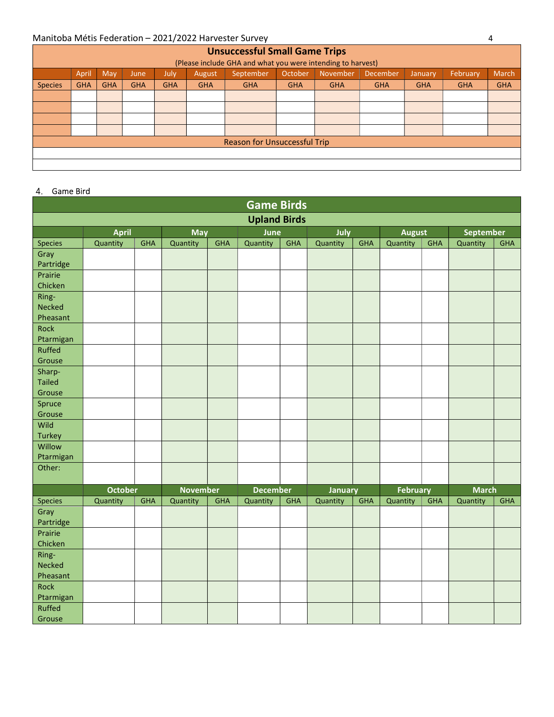|                                                                                                                        | <b>Unsuccessful Small Game Trips</b>                        |            |            |            |            |                                     |            |            |            |            |            |            |  |  |
|------------------------------------------------------------------------------------------------------------------------|-------------------------------------------------------------|------------|------------|------------|------------|-------------------------------------|------------|------------|------------|------------|------------|------------|--|--|
|                                                                                                                        | (Please include GHA and what you were intending to harvest) |            |            |            |            |                                     |            |            |            |            |            |            |  |  |
| March<br>April<br>November<br>February<br>May<br>September<br>October<br>December<br>July<br>August<br>January<br>June |                                                             |            |            |            |            |                                     |            |            |            |            |            |            |  |  |
| <b>Species</b>                                                                                                         | <b>GHA</b>                                                  | <b>GHA</b> | <b>GHA</b> | <b>GHA</b> | <b>GHA</b> | <b>GHA</b>                          | <b>GHA</b> | <b>GHA</b> | <b>GHA</b> | <b>GHA</b> | <b>GHA</b> | <b>GHA</b> |  |  |
|                                                                                                                        |                                                             |            |            |            |            |                                     |            |            |            |            |            |            |  |  |
|                                                                                                                        |                                                             |            |            |            |            |                                     |            |            |            |            |            |            |  |  |
|                                                                                                                        |                                                             |            |            |            |            |                                     |            |            |            |            |            |            |  |  |
|                                                                                                                        |                                                             |            |            |            |            |                                     |            |            |            |            |            |            |  |  |
|                                                                                                                        |                                                             |            |            |            |            | <b>Reason for Unsuccessful Trip</b> |            |            |            |            |            |            |  |  |
|                                                                                                                        |                                                             |            |            |            |            |                                     |            |            |            |            |            |            |  |  |
|                                                                                                                        |                                                             |            |            |            |            |                                     |            |            |            |            |            |            |  |  |

### 4. Game Bird

| <b>Game Birds</b>         |                            |            |                             |            |                             |            |                            |            |                             |            |                          |            |  |
|---------------------------|----------------------------|------------|-----------------------------|------------|-----------------------------|------------|----------------------------|------------|-----------------------------|------------|--------------------------|------------|--|
|                           |                            |            |                             |            | <b>Upland Birds</b>         |            |                            |            |                             |            |                          |            |  |
|                           | <b>April</b>               |            | <b>May</b>                  |            | <b>August</b>               |            | September                  |            |                             |            |                          |            |  |
| Species                   | Quantity                   | <b>GHA</b> | Quantity                    | <b>GHA</b> | Quantity                    | <b>GHA</b> | Quantity                   | <b>GHA</b> | Quantity                    | <b>GHA</b> | Quantity                 | <b>GHA</b> |  |
| Gray                      |                            |            |                             |            |                             |            |                            |            |                             |            |                          |            |  |
| Partridge                 |                            |            |                             |            |                             |            |                            |            |                             |            |                          |            |  |
| Prairie                   |                            |            |                             |            |                             |            |                            |            |                             |            |                          |            |  |
| Chicken                   |                            |            |                             |            |                             |            |                            |            |                             |            |                          |            |  |
| Ring-                     |                            |            |                             |            |                             |            |                            |            |                             |            |                          |            |  |
| <b>Necked</b><br>Pheasant |                            |            |                             |            |                             |            |                            |            |                             |            |                          |            |  |
| Rock                      |                            |            |                             |            |                             |            |                            |            |                             |            |                          |            |  |
| Ptarmigan                 |                            |            |                             |            |                             |            |                            |            |                             |            |                          |            |  |
| Ruffed                    |                            |            |                             |            |                             |            |                            |            |                             |            |                          |            |  |
| Grouse                    |                            |            |                             |            |                             |            |                            |            |                             |            |                          |            |  |
| Sharp-                    |                            |            |                             |            |                             |            |                            |            |                             |            |                          |            |  |
| <b>Tailed</b>             |                            |            |                             |            |                             |            |                            |            |                             |            |                          |            |  |
| Grouse                    |                            |            |                             |            |                             |            |                            |            |                             |            |                          |            |  |
| Spruce                    |                            |            |                             |            |                             |            |                            |            |                             |            |                          |            |  |
| Grouse                    |                            |            |                             |            |                             |            |                            |            |                             |            |                          |            |  |
| Wild                      |                            |            |                             |            |                             |            |                            |            |                             |            |                          |            |  |
| <b>Turkey</b>             |                            |            |                             |            |                             |            |                            |            |                             |            |                          |            |  |
| Willow                    |                            |            |                             |            |                             |            |                            |            |                             |            |                          |            |  |
| Ptarmigan                 |                            |            |                             |            |                             |            |                            |            |                             |            |                          |            |  |
| Other:                    |                            |            |                             |            |                             |            |                            |            |                             |            |                          |            |  |
|                           |                            |            |                             |            |                             |            |                            |            |                             |            |                          |            |  |
| Species                   | <b>October</b><br>Quantity | <b>GHA</b> | <b>November</b><br>Quantity | <b>GHA</b> | <b>December</b><br>Quantity | <b>GHA</b> | <b>January</b><br>Quantity | <b>GHA</b> | <b>February</b><br>Quantity | <b>GHA</b> | <b>March</b><br>Quantity | <b>GHA</b> |  |
| Gray                      |                            |            |                             |            |                             |            |                            |            |                             |            |                          |            |  |
| Partridge                 |                            |            |                             |            |                             |            |                            |            |                             |            |                          |            |  |
| Prairie                   |                            |            |                             |            |                             |            |                            |            |                             |            |                          |            |  |
| Chicken                   |                            |            |                             |            |                             |            |                            |            |                             |            |                          |            |  |
| Ring-                     |                            |            |                             |            |                             |            |                            |            |                             |            |                          |            |  |
| <b>Necked</b>             |                            |            |                             |            |                             |            |                            |            |                             |            |                          |            |  |
| Pheasant                  |                            |            |                             |            |                             |            |                            |            |                             |            |                          |            |  |
| Rock                      |                            |            |                             |            |                             |            |                            |            |                             |            |                          |            |  |
| Ptarmigan                 |                            |            |                             |            |                             |            |                            |            |                             |            |                          |            |  |
| Ruffed                    |                            |            |                             |            |                             |            |                            |            |                             |            |                          |            |  |
| Grouse                    |                            |            |                             |            |                             |            |                            |            |                             |            |                          |            |  |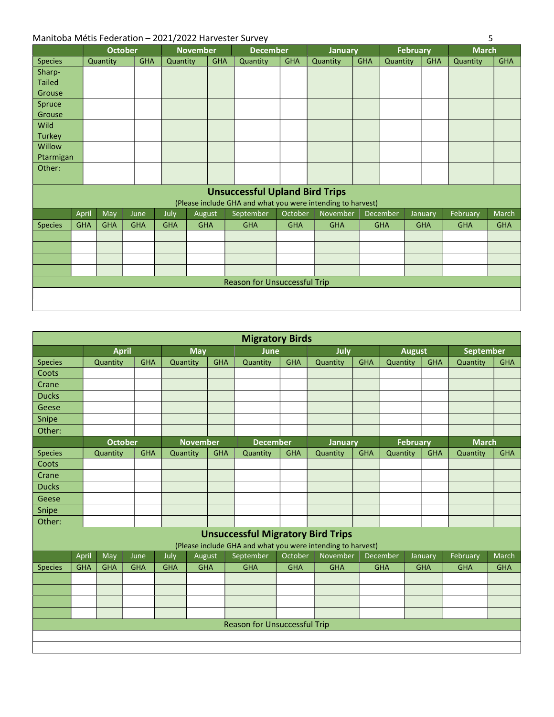|                |            |            | <b>October</b> |            | <b>November</b> |            | <b>December</b>                       |            | <b>January</b>                                              |            |            | <b>February</b> | <b>March</b> |            |
|----------------|------------|------------|----------------|------------|-----------------|------------|---------------------------------------|------------|-------------------------------------------------------------|------------|------------|-----------------|--------------|------------|
| Species        |            | Quantity   | <b>GHA</b>     | Quantity   |                 | <b>GHA</b> | Quantity                              | <b>GHA</b> | Quantity                                                    | <b>GHA</b> | Quantity   | <b>GHA</b>      | Quantity     | <b>GHA</b> |
| Sharp-         |            |            |                |            |                 |            |                                       |            |                                                             |            |            |                 |              |            |
| <b>Tailed</b>  |            |            |                |            |                 |            |                                       |            |                                                             |            |            |                 |              |            |
| Grouse         |            |            |                |            |                 |            |                                       |            |                                                             |            |            |                 |              |            |
| Spruce         |            |            |                |            |                 |            |                                       |            |                                                             |            |            |                 |              |            |
| Grouse         |            |            |                |            |                 |            |                                       |            |                                                             |            |            |                 |              |            |
| Wild           |            |            |                |            |                 |            |                                       |            |                                                             |            |            |                 |              |            |
| <b>Turkey</b>  |            |            |                |            |                 |            |                                       |            |                                                             |            |            |                 |              |            |
| Willow         |            |            |                |            |                 |            |                                       |            |                                                             |            |            |                 |              |            |
| Ptarmigan      |            |            |                |            |                 |            |                                       |            |                                                             |            |            |                 |              |            |
| Other:         |            |            |                |            |                 |            |                                       |            |                                                             |            |            |                 |              |            |
|                |            |            |                |            |                 |            |                                       |            |                                                             |            |            |                 |              |            |
|                |            |            |                |            |                 |            | <b>Unsuccessful Upland Bird Trips</b> |            | (Please include GHA and what you were intending to harvest) |            |            |                 |              |            |
|                | April      | May        | June           | July       | August          |            | September                             | October    | November                                                    |            | December   | January         | February     | March      |
| <b>Species</b> | <b>GHA</b> | <b>GHA</b> | <b>GHA</b>     | <b>GHA</b> | <b>GHA</b>      |            | <b>GHA</b>                            | <b>GHA</b> | <b>GHA</b>                                                  |            | <b>GHA</b> | <b>GHA</b>      | <b>GHA</b>   | <b>GHA</b> |
|                |            |            |                |            |                 |            |                                       |            |                                                             |            |            |                 |              |            |
|                |            |            |                |            |                 |            |                                       |            |                                                             |            |            |                 |              |            |
|                |            |            |                |            |                 |            |                                       |            |                                                             |            |            |                 |              |            |
|                |            |            |                |            |                 |            |                                       |            |                                                             |            |            |                 |              |            |
|                |            |            |                |            |                 |            | <b>Reason for Unsuccessful Trip</b>   |            |                                                             |            |            |                 |              |            |
|                |            |            |                |            |                 |            |                                       |            |                                                             |            |            |                 |              |            |
|                |            |            |                |            |                 |            |                                       |            |                                                             |            |            |                 |              |            |

|                |            |                |            |            |                 |            | <b>Migratory Birds</b>                                      |            |            |            |            |                 |            |                  |            |
|----------------|------------|----------------|------------|------------|-----------------|------------|-------------------------------------------------------------|------------|------------|------------|------------|-----------------|------------|------------------|------------|
|                |            | <b>April</b>   |            |            | May             |            | June                                                        |            | July       |            |            | <b>August</b>   |            | <b>September</b> |            |
| <b>Species</b> |            | Quantity       | <b>GHA</b> | Quantity   |                 | <b>GHA</b> | Quantity                                                    | <b>GHA</b> | Quantity   | <b>GHA</b> | Quantity   |                 | <b>GHA</b> | Quantity         | <b>GHA</b> |
| Coots          |            |                |            |            |                 |            |                                                             |            |            |            |            |                 |            |                  |            |
| Crane          |            |                |            |            |                 |            |                                                             |            |            |            |            |                 |            |                  |            |
| <b>Ducks</b>   |            |                |            |            |                 |            |                                                             |            |            |            |            |                 |            |                  |            |
| Geese          |            |                |            |            |                 |            |                                                             |            |            |            |            |                 |            |                  |            |
| Snipe          |            |                |            |            |                 |            |                                                             |            |            |            |            |                 |            |                  |            |
| Other:         |            |                |            |            |                 |            |                                                             |            |            |            |            |                 |            |                  |            |
|                |            | <b>October</b> |            |            | <b>November</b> |            | <b>December</b>                                             |            | January    |            |            | <b>February</b> |            | <b>March</b>     |            |
| <b>Species</b> |            | Quantity       | <b>GHA</b> | Quantity   |                 | <b>GHA</b> | Quantity                                                    | <b>GHA</b> | Quantity   | <b>GHA</b> | Quantity   |                 | <b>GHA</b> | Quantity         | <b>GHA</b> |
| Coots          |            |                |            |            |                 |            |                                                             |            |            |            |            |                 |            |                  |            |
| Crane          |            |                |            |            |                 |            |                                                             |            |            |            |            |                 |            |                  |            |
| <b>Ducks</b>   |            |                |            |            |                 |            |                                                             |            |            |            |            |                 |            |                  |            |
| Geese          |            |                |            |            |                 |            |                                                             |            |            |            |            |                 |            |                  |            |
| Snipe          |            |                |            |            |                 |            |                                                             |            |            |            |            |                 |            |                  |            |
| Other:         |            |                |            |            |                 |            |                                                             |            |            |            |            |                 |            |                  |            |
|                |            |                |            |            |                 |            | <b>Unsuccessful Migratory Bird Trips</b>                    |            |            |            |            |                 |            |                  |            |
|                |            |                |            |            |                 |            | (Please include GHA and what you were intending to harvest) |            |            |            |            |                 |            |                  |            |
|                | April      | May            | June       | July       | August          |            | September                                                   | October    | November   |            | December   |                 | January    | February         | March      |
| <b>Species</b> | <b>GHA</b> | <b>GHA</b>     | <b>GHA</b> | <b>GHA</b> | <b>GHA</b>      |            | <b>GHA</b>                                                  | <b>GHA</b> | <b>GHA</b> |            | <b>GHA</b> |                 | <b>GHA</b> | <b>GHA</b>       | <b>GHA</b> |
|                |            |                |            |            |                 |            |                                                             |            |            |            |            |                 |            |                  |            |
|                |            |                |            |            |                 |            |                                                             |            |            |            |            |                 |            |                  |            |
|                |            |                |            |            |                 |            |                                                             |            |            |            |            |                 |            |                  |            |
|                |            |                |            |            |                 |            |                                                             |            |            |            |            |                 |            |                  |            |
|                |            |                |            |            |                 |            | <b>Reason for Unsuccessful Trip</b>                         |            |            |            |            |                 |            |                  |            |
|                |            |                |            |            |                 |            |                                                             |            |            |            |            |                 |            |                  |            |
|                |            |                |            |            |                 |            |                                                             |            |            |            |            |                 |            |                  |            |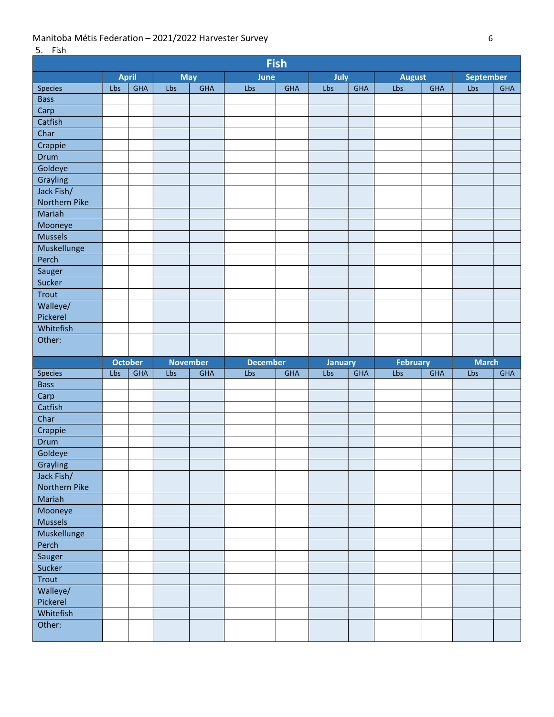| Fish                |                |            |                 |            |                 |            |                |            |                 |            |                  |            |
|---------------------|----------------|------------|-----------------|------------|-----------------|------------|----------------|------------|-----------------|------------|------------------|------------|
|                     | <b>April</b>   |            | <b>May</b>      |            | June            |            | July           |            | <b>August</b>   |            | <b>September</b> |            |
| Species             | Lbs            | <b>GHA</b> | Lbs             | <b>GHA</b> | Lbs             | <b>GHA</b> | Lbs            | <b>GHA</b> | Lbs             | <b>GHA</b> | Lbs              | <b>GHA</b> |
| <b>Bass</b>         |                |            |                 |            |                 |            |                |            |                 |            |                  |            |
| Carp                |                |            |                 |            |                 |            |                |            |                 |            |                  |            |
| Catfish             |                |            |                 |            |                 |            |                |            |                 |            |                  |            |
| Char                |                |            |                 |            |                 |            |                |            |                 |            |                  |            |
| Crappie             |                |            |                 |            |                 |            |                |            |                 |            |                  |            |
| Drum                |                |            |                 |            |                 |            |                |            |                 |            |                  |            |
| Goldeye             |                |            |                 |            |                 |            |                |            |                 |            |                  |            |
| Grayling            |                |            |                 |            |                 |            |                |            |                 |            |                  |            |
| Jack Fish/          |                |            |                 |            |                 |            |                |            |                 |            |                  |            |
| Northern Pike       |                |            |                 |            |                 |            |                |            |                 |            |                  |            |
| Mariah              |                |            |                 |            |                 |            |                |            |                 |            |                  |            |
| Mooneye             |                |            |                 |            |                 |            |                |            |                 |            |                  |            |
| <b>Mussels</b>      |                |            |                 |            |                 |            |                |            |                 |            |                  |            |
| Muskellunge         |                |            |                 |            |                 |            |                |            |                 |            |                  |            |
| Perch               |                |            |                 |            |                 |            |                |            |                 |            |                  |            |
| Sauger              |                |            |                 |            |                 |            |                |            |                 |            |                  |            |
| Sucker              |                |            |                 |            |                 |            |                |            |                 |            |                  |            |
| <b>Trout</b>        |                |            |                 |            |                 |            |                |            |                 |            |                  |            |
| Walleye/            |                |            |                 |            |                 |            |                |            |                 |            |                  |            |
| Pickerel            |                |            |                 |            |                 |            |                |            |                 |            |                  |            |
| Whitefish           |                |            |                 |            |                 |            |                |            |                 |            |                  |            |
| Other:              |                |            |                 |            |                 |            |                |            |                 |            |                  |            |
|                     |                |            |                 |            |                 |            |                |            |                 |            |                  |            |
|                     |                |            |                 |            |                 |            |                |            |                 |            |                  |            |
|                     | <b>October</b> |            | <b>November</b> |            | <b>December</b> |            | <b>January</b> |            | <b>February</b> |            | <b>March</b>     |            |
| Species             | Lbs            | <b>GHA</b> | Lbs             | <b>GHA</b> | Lbs             | <b>GHA</b> | Lbs            | <b>GHA</b> | Lbs             | <b>GHA</b> | Lbs              | <b>GHA</b> |
| <b>Bass</b>         |                |            |                 |            |                 |            |                |            |                 |            |                  |            |
| Carp                |                |            |                 |            |                 |            |                |            |                 |            |                  |            |
| Catfish             |                |            |                 |            |                 |            |                |            |                 |            |                  |            |
| Char                |                |            |                 |            |                 |            |                |            |                 |            |                  |            |
| Crappie             |                |            |                 |            |                 |            |                |            |                 |            |                  |            |
| Drum                |                |            |                 |            |                 |            |                |            |                 |            |                  |            |
| Goldeye             |                |            |                 |            |                 |            |                |            |                 |            |                  |            |
| Г<br>Grayling       |                |            |                 |            |                 |            |                |            |                 |            |                  |            |
| Jack Fish/          |                |            |                 |            |                 |            |                |            |                 |            |                  |            |
| Northern Pike       |                |            |                 |            |                 |            |                |            |                 |            |                  |            |
| Mariah              |                |            |                 |            |                 |            |                |            |                 |            |                  |            |
| Mooneye             |                |            |                 |            |                 |            |                |            |                 |            |                  |            |
| Mussels             |                |            |                 |            |                 |            |                |            |                 |            |                  |            |
| Muskellunge         |                |            |                 |            |                 |            |                |            |                 |            |                  |            |
| Perch               |                |            |                 |            |                 |            |                |            |                 |            |                  |            |
| Sauger              |                |            |                 |            |                 |            |                |            |                 |            |                  |            |
| Sucker              |                |            |                 |            |                 |            |                |            |                 |            |                  |            |
| Trout               |                |            |                 |            |                 |            |                |            |                 |            |                  |            |
| Walleye/            |                |            |                 |            |                 |            |                |            |                 |            |                  |            |
| Pickerel            |                |            |                 |            |                 |            |                |            |                 |            |                  |            |
| Whitefish<br>Other: |                |            |                 |            |                 |            |                |            |                 |            |                  |            |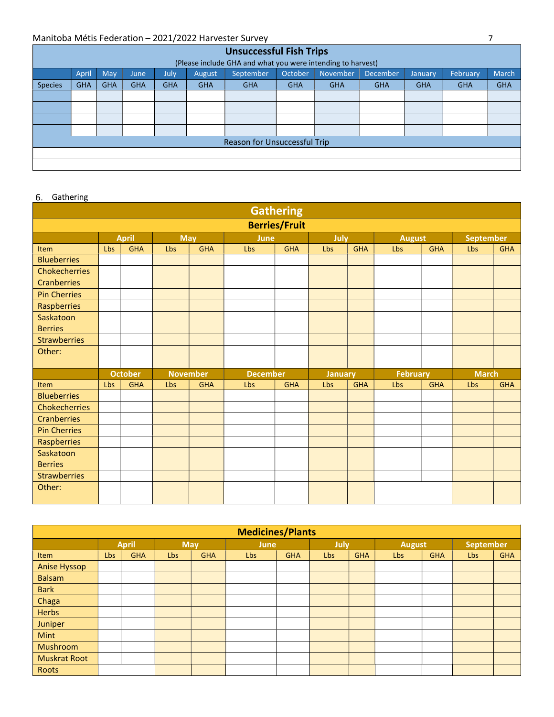|                | <b>Unsuccessful Fish Trips</b>                              |            |            |            |            |                              |            |            |                 |            |            |              |  |  |
|----------------|-------------------------------------------------------------|------------|------------|------------|------------|------------------------------|------------|------------|-----------------|------------|------------|--------------|--|--|
|                | (Please include GHA and what you were intending to harvest) |            |            |            |            |                              |            |            |                 |            |            |              |  |  |
|                | April                                                       | <b>May</b> | June       | July.      | August     | September                    | October    | November   | <b>December</b> | January    | February   | <b>March</b> |  |  |
| <b>Species</b> | <b>GHA</b>                                                  | <b>GHA</b> | <b>GHA</b> | <b>GHA</b> | <b>GHA</b> | <b>GHA</b>                   | <b>GHA</b> | <b>GHA</b> | <b>GHA</b>      | <b>GHA</b> | <b>GHA</b> | <b>GHA</b>   |  |  |
|                |                                                             |            |            |            |            |                              |            |            |                 |            |            |              |  |  |
|                |                                                             |            |            |            |            |                              |            |            |                 |            |            |              |  |  |
|                |                                                             |            |            |            |            |                              |            |            |                 |            |            |              |  |  |
|                |                                                             |            |            |            |            |                              |            |            |                 |            |            |              |  |  |
|                |                                                             |            |            |            |            | Reason for Unsuccessful Trip |            |            |                 |            |            |              |  |  |
|                |                                                             |            |            |            |            |                              |            |            |                 |            |            |              |  |  |
|                |                                                             |            |            |            |            |                              |            |            |                 |            |            |              |  |  |

### 6. Gathering

| <b>Gathering</b>     |                                                                          |                |                 |            |                 |            |                |            |                 |            |              |            |  |  |
|----------------------|--------------------------------------------------------------------------|----------------|-----------------|------------|-----------------|------------|----------------|------------|-----------------|------------|--------------|------------|--|--|
| <b>Berries/Fruit</b> |                                                                          |                |                 |            |                 |            |                |            |                 |            |              |            |  |  |
|                      | <b>April</b><br>September<br><b>May</b><br>July<br>June<br><b>August</b> |                |                 |            |                 |            |                |            |                 |            |              |            |  |  |
| <b>Item</b>          | <b>Lbs</b>                                                               | <b>GHA</b>     | <b>Lbs</b>      | <b>GHA</b> | <b>Lbs</b>      | <b>GHA</b> | Lbs            | <b>GHA</b> | Lbs             | <b>GHA</b> | <b>Lbs</b>   | <b>GHA</b> |  |  |
| <b>Blueberries</b>   |                                                                          |                |                 |            |                 |            |                |            |                 |            |              |            |  |  |
| <b>Chokecherries</b> |                                                                          |                |                 |            |                 |            |                |            |                 |            |              |            |  |  |
| <b>Cranberries</b>   |                                                                          |                |                 |            |                 |            |                |            |                 |            |              |            |  |  |
| <b>Pin Cherries</b>  |                                                                          |                |                 |            |                 |            |                |            |                 |            |              |            |  |  |
| Raspberries          |                                                                          |                |                 |            |                 |            |                |            |                 |            |              |            |  |  |
| Saskatoon            |                                                                          |                |                 |            |                 |            |                |            |                 |            |              |            |  |  |
| <b>Berries</b>       |                                                                          |                |                 |            |                 |            |                |            |                 |            |              |            |  |  |
| <b>Strawberries</b>  |                                                                          |                |                 |            |                 |            |                |            |                 |            |              |            |  |  |
| Other:               |                                                                          |                |                 |            |                 |            |                |            |                 |            |              |            |  |  |
|                      |                                                                          |                |                 |            |                 |            |                |            |                 |            |              |            |  |  |
|                      |                                                                          |                |                 |            |                 |            |                |            |                 |            | <b>March</b> |            |  |  |
|                      |                                                                          | <b>October</b> | <b>November</b> |            | <b>December</b> |            | <b>January</b> |            | <b>February</b> |            |              |            |  |  |
| <b>Item</b>          | <b>Lbs</b>                                                               | <b>GHA</b>     | Lbs             | <b>GHA</b> | Lbs             | <b>GHA</b> | Lbs            | <b>GHA</b> | Lbs             | <b>GHA</b> | Lbs          | <b>GHA</b> |  |  |
| <b>Blueberries</b>   |                                                                          |                |                 |            |                 |            |                |            |                 |            |              |            |  |  |
| Chokecherries        |                                                                          |                |                 |            |                 |            |                |            |                 |            |              |            |  |  |
| <b>Cranberries</b>   |                                                                          |                |                 |            |                 |            |                |            |                 |            |              |            |  |  |
| <b>Pin Cherries</b>  |                                                                          |                |                 |            |                 |            |                |            |                 |            |              |            |  |  |
| Raspberries          |                                                                          |                |                 |            |                 |            |                |            |                 |            |              |            |  |  |
| Saskatoon            |                                                                          |                |                 |            |                 |            |                |            |                 |            |              |            |  |  |
| <b>Berries</b>       |                                                                          |                |                 |            |                 |            |                |            |                 |            |              |            |  |  |
| <b>Strawberries</b>  |                                                                          |                |                 |            |                 |            |                |            |                 |            |              |            |  |  |
| Other:               |                                                                          |                |                 |            |                 |            |                |            |                 |            |              |            |  |  |

| <b>Medicines/Plants</b> |                                                                                        |            |     |            |     |            |     |            |     |            |     |            |  |  |  |
|-------------------------|----------------------------------------------------------------------------------------|------------|-----|------------|-----|------------|-----|------------|-----|------------|-----|------------|--|--|--|
|                         | <b>April</b><br><b>September</b><br><b>May</b><br>July<br><b>June</b><br><b>August</b> |            |     |            |     |            |     |            |     |            |     |            |  |  |  |
| Item                    | Lbs                                                                                    | <b>GHA</b> | Lbs | <b>GHA</b> | Lbs | <b>GHA</b> | Lbs | <b>GHA</b> | Lbs | <b>GHA</b> | Lbs | <b>GHA</b> |  |  |  |
| <b>Anise Hyssop</b>     |                                                                                        |            |     |            |     |            |     |            |     |            |     |            |  |  |  |
| <b>Balsam</b>           |                                                                                        |            |     |            |     |            |     |            |     |            |     |            |  |  |  |
| <b>Bark</b>             |                                                                                        |            |     |            |     |            |     |            |     |            |     |            |  |  |  |
| Chaga                   |                                                                                        |            |     |            |     |            |     |            |     |            |     |            |  |  |  |
| <b>Herbs</b>            |                                                                                        |            |     |            |     |            |     |            |     |            |     |            |  |  |  |
| Juniper                 |                                                                                        |            |     |            |     |            |     |            |     |            |     |            |  |  |  |
| Mint                    |                                                                                        |            |     |            |     |            |     |            |     |            |     |            |  |  |  |
| Mushroom                |                                                                                        |            |     |            |     |            |     |            |     |            |     |            |  |  |  |
| <b>Muskrat Root</b>     |                                                                                        |            |     |            |     |            |     |            |     |            |     |            |  |  |  |
| Roots                   |                                                                                        |            |     |            |     |            |     |            |     |            |     |            |  |  |  |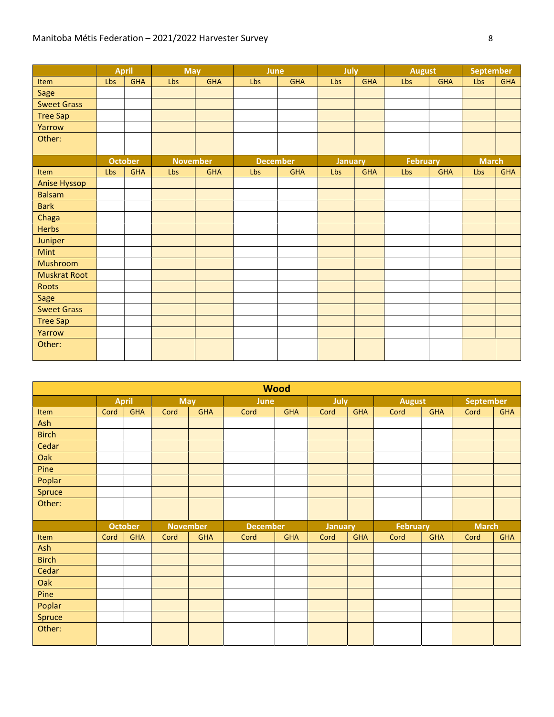|                     |     | <b>April</b>   | <b>May</b>      |            | June |                 | July |                | <b>August</b>   |            | <b>September</b> |            |
|---------------------|-----|----------------|-----------------|------------|------|-----------------|------|----------------|-----------------|------------|------------------|------------|
| Item                | Lbs | <b>GHA</b>     | Lbs             | <b>GHA</b> | Lbs  | <b>GHA</b>      | Lbs  | <b>GHA</b>     | Lbs             | <b>GHA</b> | Lbs              | <b>GHA</b> |
| Sage                |     |                |                 |            |      |                 |      |                |                 |            |                  |            |
| <b>Sweet Grass</b>  |     |                |                 |            |      |                 |      |                |                 |            |                  |            |
| <b>Tree Sap</b>     |     |                |                 |            |      |                 |      |                |                 |            |                  |            |
| Yarrow              |     |                |                 |            |      |                 |      |                |                 |            |                  |            |
| Other:              |     |                |                 |            |      |                 |      |                |                 |            |                  |            |
|                     |     |                |                 |            |      |                 |      |                |                 |            |                  |            |
|                     |     | <b>October</b> | <b>November</b> |            |      | <b>December</b> |      | <b>January</b> | <b>February</b> |            | <b>March</b>     |            |
| Item                | Lbs | <b>GHA</b>     | Lbs             | <b>GHA</b> | Lbs  | <b>GHA</b>      | Lbs  | <b>GHA</b>     | Lbs             | <b>GHA</b> | Lbs              | <b>GHA</b> |
| <b>Anise Hyssop</b> |     |                |                 |            |      |                 |      |                |                 |            |                  |            |
| <b>Balsam</b>       |     |                |                 |            |      |                 |      |                |                 |            |                  |            |
| <b>Bark</b>         |     |                |                 |            |      |                 |      |                |                 |            |                  |            |
| Chaga               |     |                |                 |            |      |                 |      |                |                 |            |                  |            |
| <b>Herbs</b>        |     |                |                 |            |      |                 |      |                |                 |            |                  |            |
| Juniper             |     |                |                 |            |      |                 |      |                |                 |            |                  |            |
| Mint                |     |                |                 |            |      |                 |      |                |                 |            |                  |            |
| Mushroom            |     |                |                 |            |      |                 |      |                |                 |            |                  |            |
| <b>Muskrat Root</b> |     |                |                 |            |      |                 |      |                |                 |            |                  |            |
| Roots               |     |                |                 |            |      |                 |      |                |                 |            |                  |            |
| Sage                |     |                |                 |            |      |                 |      |                |                 |            |                  |            |
| <b>Sweet Grass</b>  |     |                |                 |            |      |                 |      |                |                 |            |                  |            |
| <b>Tree Sap</b>     |     |                |                 |            |      |                 |      |                |                 |            |                  |            |
| Yarrow              |     |                |                 |            |      |                 |      |                |                 |            |                  |            |
| Other:              |     |                |                 |            |      |                 |      |                |                 |            |                  |            |
|                     |     |                |                 |            |      |                 |      |                |                 |            |                  |            |

| <b>Wood</b>  |      |                |                 |            |                 |            |                |            |                 |            |                  |            |  |
|--------------|------|----------------|-----------------|------------|-----------------|------------|----------------|------------|-----------------|------------|------------------|------------|--|
|              |      | <b>April</b>   | <b>May</b>      |            | June            |            | July           |            | <b>August</b>   |            | <b>September</b> |            |  |
| Item         | Cord | <b>GHA</b>     | Cord            | <b>GHA</b> | Cord            | <b>GHA</b> | Cord           | <b>GHA</b> | Cord            | <b>GHA</b> | Cord             | <b>GHA</b> |  |
| Ash          |      |                |                 |            |                 |            |                |            |                 |            |                  |            |  |
| <b>Birch</b> |      |                |                 |            |                 |            |                |            |                 |            |                  |            |  |
| Cedar        |      |                |                 |            |                 |            |                |            |                 |            |                  |            |  |
| Oak          |      |                |                 |            |                 |            |                |            |                 |            |                  |            |  |
| Pine         |      |                |                 |            |                 |            |                |            |                 |            |                  |            |  |
| Poplar       |      |                |                 |            |                 |            |                |            |                 |            |                  |            |  |
| Spruce       |      |                |                 |            |                 |            |                |            |                 |            |                  |            |  |
| Other:       |      |                |                 |            |                 |            |                |            |                 |            |                  |            |  |
|              |      |                |                 |            |                 |            |                |            |                 |            |                  |            |  |
|              |      | <b>October</b> | <b>November</b> |            | <b>December</b> |            | <b>January</b> |            | <b>February</b> |            | <b>March</b>     |            |  |
| Item         | Cord | <b>GHA</b>     | Cord            | <b>GHA</b> | Cord            | <b>GHA</b> | Cord           | <b>GHA</b> | Cord            | <b>GHA</b> | Cord             | <b>GHA</b> |  |
| Ash          |      |                |                 |            |                 |            |                |            |                 |            |                  |            |  |
| <b>Birch</b> |      |                |                 |            |                 |            |                |            |                 |            |                  |            |  |
| Cedar        |      |                |                 |            |                 |            |                |            |                 |            |                  |            |  |
| Oak          |      |                |                 |            |                 |            |                |            |                 |            |                  |            |  |
| Pine         |      |                |                 |            |                 |            |                |            |                 |            |                  |            |  |
| Poplar       |      |                |                 |            |                 |            |                |            |                 |            |                  |            |  |
| Spruce       |      |                |                 |            |                 |            |                |            |                 |            |                  |            |  |
| Other:       |      |                |                 |            |                 |            |                |            |                 |            |                  |            |  |
|              |      |                |                 |            |                 |            |                |            |                 |            |                  |            |  |